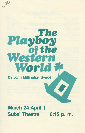# 020 The Playboy the 26

by John Millington Synge

World

# March 24-April 1 Subal Theatre 8:15 p.m.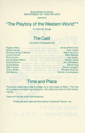Boise State University DEPARTMENT OF THEATRE ARTS

presents

# **"The Playboy of the Western World"\***

by John M. Synge

# **The Cast**

(In Order of Appearance)

| Michael James Flaherty  Mack Guymon |  |
|-------------------------------------|--|
|                                     |  |
|                                     |  |
|                                     |  |
|                                     |  |
|                                     |  |
|                                     |  |
|                                     |  |
|                                     |  |

#### **Time and Place**

The action takes place near a village, on a wild coast of Mayo. The first Act passes on an evening of autumn, the other two Acts on the following day.

There will be two brief intermissions.

\*Produced with Special Permission of Samuel French, Inc.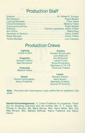# **Production Staff**

| Publicity Charles Lauterbach, Kathy O'Neill |  |
|---------------------------------------------|--|
|                                             |  |
|                                             |  |
|                                             |  |
|                                             |  |

#### **Production Crews**

**Lighting**  Leslie Fowler

**Properties**  Richard Trevino Beth Somerton

**Costumes**  Melanie Yellen

**Sound**  Patrick Cunningham Nancy Frederick

**Scenery**  Student Employees: Larry Babcock Ann Bittleston Leslie Fowler Bruce Richardson Members of TA 118: Technical Theatre

**Ushers**  Richard Trevino Gerry Bryant Members of Alpha Omicron Pi Sorority

**Note:** Pre-show and intermission music performed on authentic Irish pipes.

**Special Acknowledgements:** E. Costin Frederick for properties. Thank you for donating costumes and old clothes: Ms. E. T. Evans, Mrs. Chester A. Murphy, Ms. Marie Murray, Mrs. Henry Miller, Mrs. Ella Mae Winans, Mrs. Barbara Belknap. Nancy Frederick and Nancy Harms.